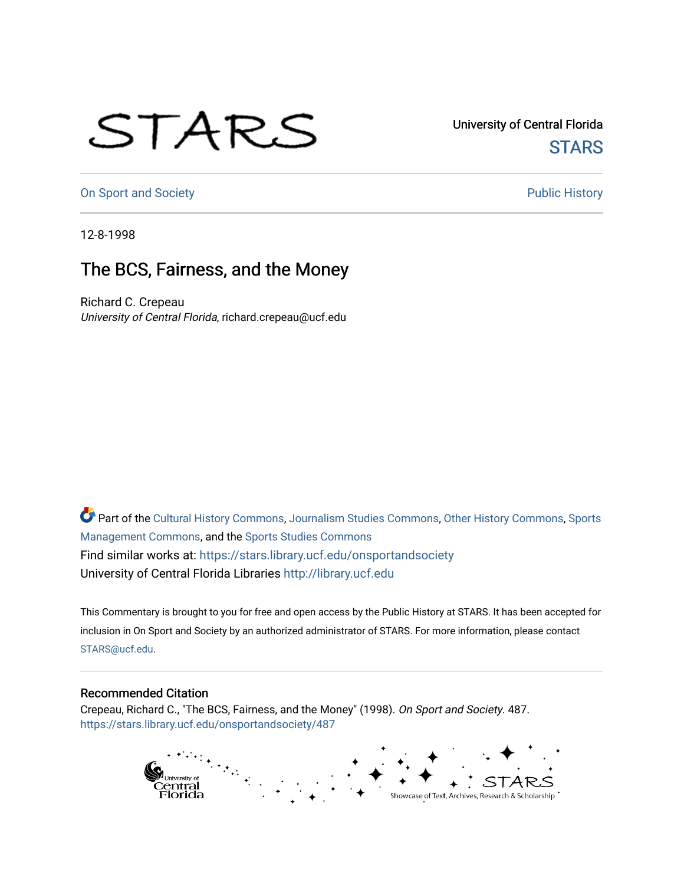## STARS

University of Central Florida **STARS** 

[On Sport and Society](https://stars.library.ucf.edu/onsportandsociety) **Public History** Public History

12-8-1998

## The BCS, Fairness, and the Money

Richard C. Crepeau University of Central Florida, richard.crepeau@ucf.edu

Part of the [Cultural History Commons](http://network.bepress.com/hgg/discipline/496?utm_source=stars.library.ucf.edu%2Fonsportandsociety%2F487&utm_medium=PDF&utm_campaign=PDFCoverPages), [Journalism Studies Commons,](http://network.bepress.com/hgg/discipline/333?utm_source=stars.library.ucf.edu%2Fonsportandsociety%2F487&utm_medium=PDF&utm_campaign=PDFCoverPages) [Other History Commons,](http://network.bepress.com/hgg/discipline/508?utm_source=stars.library.ucf.edu%2Fonsportandsociety%2F487&utm_medium=PDF&utm_campaign=PDFCoverPages) [Sports](http://network.bepress.com/hgg/discipline/1193?utm_source=stars.library.ucf.edu%2Fonsportandsociety%2F487&utm_medium=PDF&utm_campaign=PDFCoverPages) [Management Commons](http://network.bepress.com/hgg/discipline/1193?utm_source=stars.library.ucf.edu%2Fonsportandsociety%2F487&utm_medium=PDF&utm_campaign=PDFCoverPages), and the [Sports Studies Commons](http://network.bepress.com/hgg/discipline/1198?utm_source=stars.library.ucf.edu%2Fonsportandsociety%2F487&utm_medium=PDF&utm_campaign=PDFCoverPages) Find similar works at: <https://stars.library.ucf.edu/onsportandsociety> University of Central Florida Libraries [http://library.ucf.edu](http://library.ucf.edu/) 

This Commentary is brought to you for free and open access by the Public History at STARS. It has been accepted for inclusion in On Sport and Society by an authorized administrator of STARS. For more information, please contact [STARS@ucf.edu](mailto:STARS@ucf.edu).

## Recommended Citation

Crepeau, Richard C., "The BCS, Fairness, and the Money" (1998). On Sport and Society. 487. [https://stars.library.ucf.edu/onsportandsociety/487](https://stars.library.ucf.edu/onsportandsociety/487?utm_source=stars.library.ucf.edu%2Fonsportandsociety%2F487&utm_medium=PDF&utm_campaign=PDFCoverPages)

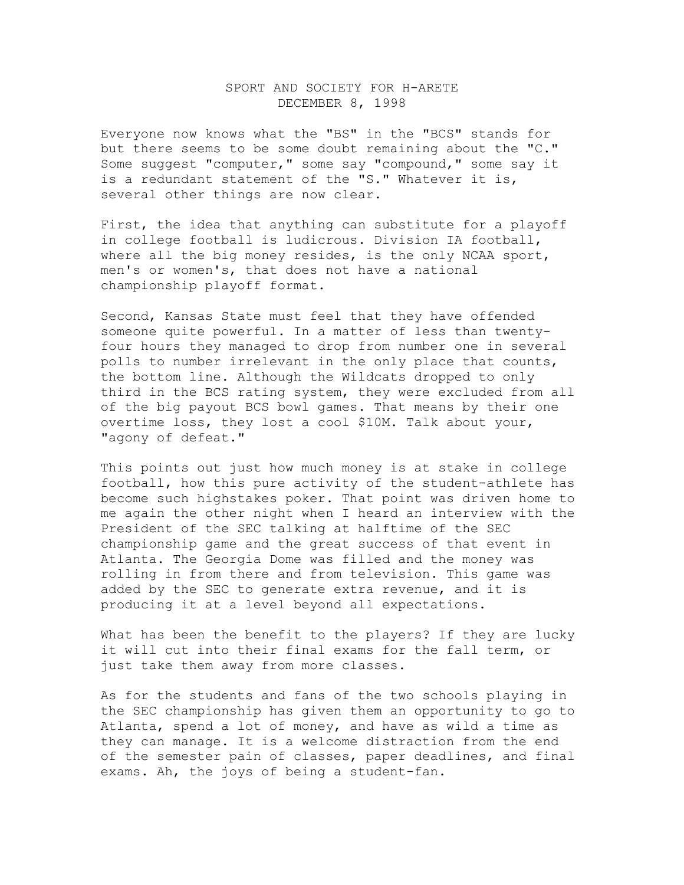## SPORT AND SOCIETY FOR H-ARETE DECEMBER 8, 1998

Everyone now knows what the "BS" in the "BCS" stands for but there seems to be some doubt remaining about the "C." Some suggest "computer," some say "compound," some say it is a redundant statement of the "S." Whatever it is, several other things are now clear.

First, the idea that anything can substitute for a playoff in college football is ludicrous. Division IA football, where all the big money resides, is the only NCAA sport, men's or women's, that does not have a national championship playoff format.

Second, Kansas State must feel that they have offended someone quite powerful. In a matter of less than twentyfour hours they managed to drop from number one in several polls to number irrelevant in the only place that counts, the bottom line. Although the Wildcats dropped to only third in the BCS rating system, they were excluded from all of the big payout BCS bowl games. That means by their one overtime loss, they lost a cool \$10M. Talk about your, "agony of defeat."

This points out just how much money is at stake in college football, how this pure activity of the student-athlete has become such highstakes poker. That point was driven home to me again the other night when I heard an interview with the President of the SEC talking at halftime of the SEC championship game and the great success of that event in Atlanta. The Georgia Dome was filled and the money was rolling in from there and from television. This game was added by the SEC to generate extra revenue, and it is producing it at a level beyond all expectations.

What has been the benefit to the players? If they are lucky it will cut into their final exams for the fall term, or just take them away from more classes.

As for the students and fans of the two schools playing in the SEC championship has given them an opportunity to go to Atlanta, spend a lot of money, and have as wild a time as they can manage. It is a welcome distraction from the end of the semester pain of classes, paper deadlines, and final exams. Ah, the joys of being a student-fan.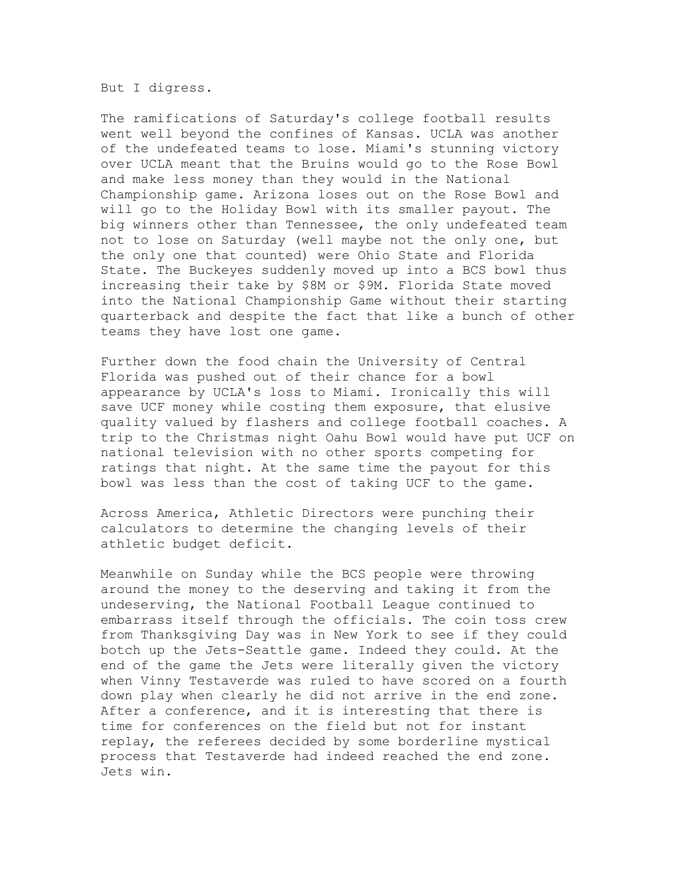But I digress.

The ramifications of Saturday's college football results went well beyond the confines of Kansas. UCLA was another of the undefeated teams to lose. Miami's stunning victory over UCLA meant that the Bruins would go to the Rose Bowl and make less money than they would in the National Championship game. Arizona loses out on the Rose Bowl and will go to the Holiday Bowl with its smaller payout. The big winners other than Tennessee, the only undefeated team not to lose on Saturday (well maybe not the only one, but the only one that counted) were Ohio State and Florida State. The Buckeyes suddenly moved up into a BCS bowl thus increasing their take by \$8M or \$9M. Florida State moved into the National Championship Game without their starting quarterback and despite the fact that like a bunch of other teams they have lost one game.

Further down the food chain the University of Central Florida was pushed out of their chance for a bowl appearance by UCLA's loss to Miami. Ironically this will save UCF money while costing them exposure, that elusive quality valued by flashers and college football coaches. A trip to the Christmas night Oahu Bowl would have put UCF on national television with no other sports competing for ratings that night. At the same time the payout for this bowl was less than the cost of taking UCF to the game.

Across America, Athletic Directors were punching their calculators to determine the changing levels of their athletic budget deficit.

Meanwhile on Sunday while the BCS people were throwing around the money to the deserving and taking it from the undeserving, the National Football League continued to embarrass itself through the officials. The coin toss crew from Thanksgiving Day was in New York to see if they could botch up the Jets-Seattle game. Indeed they could. At the end of the game the Jets were literally given the victory when Vinny Testaverde was ruled to have scored on a fourth down play when clearly he did not arrive in the end zone. After a conference, and it is interesting that there is time for conferences on the field but not for instant replay, the referees decided by some borderline mystical process that Testaverde had indeed reached the end zone. Jets win.